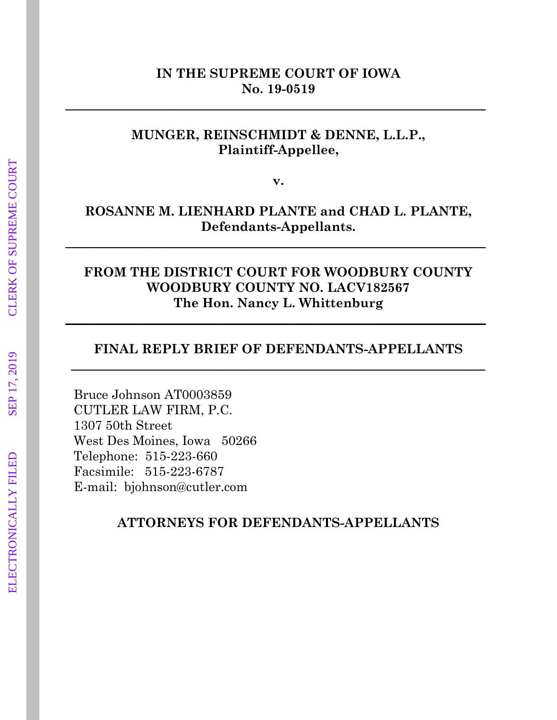## **IN THE SUPREME COURT OF IOWA No. 19-0519**

**\_\_\_\_\_\_\_\_\_\_\_\_\_\_\_\_\_\_\_\_\_\_\_\_\_\_\_\_\_\_\_\_\_\_\_\_\_\_\_\_\_\_\_\_\_\_\_\_\_\_\_\_\_\_\_\_\_\_\_\_\_\_\_\_\_\_** 

## **MUNGER, REINSCHMIDT & DENNE, L.L.P., Plaintiff-Appellee,**

**v.**

## **ROSANNE M. LIENHARD PLANTE and CHAD L. PLANTE, Defendants-Appellants.**

**\_\_\_\_\_\_\_\_\_\_\_\_\_\_\_\_\_\_\_\_\_\_\_\_\_\_\_\_\_\_\_\_\_\_\_\_\_\_\_\_\_\_\_\_\_\_\_\_\_\_\_\_\_\_\_\_\_\_\_\_\_\_\_\_\_\_**

## **FROM THE DISTRICT COURT FOR WOODBURY COUNTY WOODBURY COUNTY NO. LACV182567 The Hon. Nancy L. Whittenburg**

**\_\_\_\_\_\_\_\_\_\_\_\_\_\_\_\_\_\_\_\_\_\_\_\_\_\_\_\_\_\_\_\_\_\_\_\_\_\_\_\_\_\_\_\_\_\_\_\_\_\_\_\_\_\_\_\_\_\_\_\_\_\_\_\_\_\_**

## **FINAL REPLY BRIEF OF DEFENDANTS-APPELLANTS \_\_\_\_\_\_\_\_\_\_\_\_\_\_\_\_\_\_\_\_\_\_\_\_\_\_\_\_\_\_\_\_\_\_\_\_\_\_\_\_\_\_\_\_\_\_\_\_\_\_\_\_\_\_\_\_\_\_\_\_\_\_\_\_\_**

Bruce Johnson AT0003859 CUTLER LAW FIRM, P.C. 1307 50th Street West Des Moines, Iowa 50266 Telephone: 515-223-660 Facsimile: 515-223-6787 E-mail: bjohnson@cutler.com

**ATTORNEYS FOR DEFENDANTS-APPELLANTS**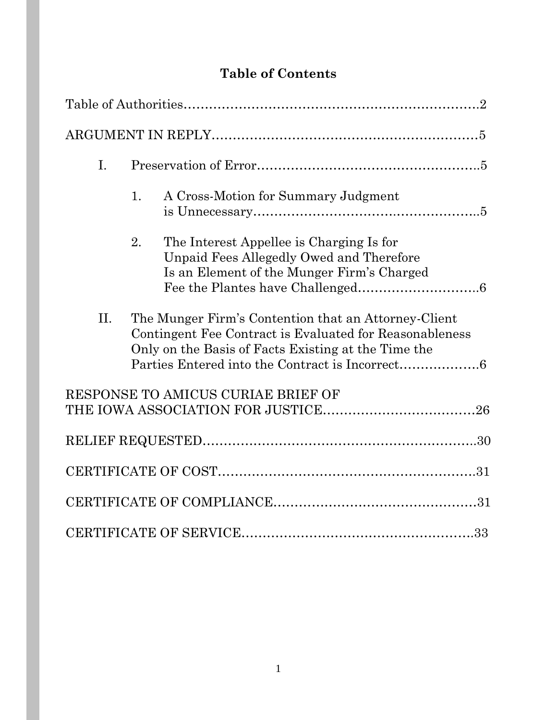# **Table of Contents**

| I.  |                                                                                                                                                                        |
|-----|------------------------------------------------------------------------------------------------------------------------------------------------------------------------|
|     | A Cross-Motion for Summary Judgment<br>1.                                                                                                                              |
|     | 2.<br>The Interest Appellee is Charging Is for<br>Unpaid Fees Allegedly Owed and Therefore<br>Is an Element of the Munger Firm's Charged                               |
| II. | The Munger Firm's Contention that an Attorney-Client<br>Contingent Fee Contract is Evaluated for Reasonableness<br>Only on the Basis of Facts Existing at the Time the |
|     | RESPONSE TO AMICUS CURIAE BRIEF OF                                                                                                                                     |
|     |                                                                                                                                                                        |
|     |                                                                                                                                                                        |
|     |                                                                                                                                                                        |
|     |                                                                                                                                                                        |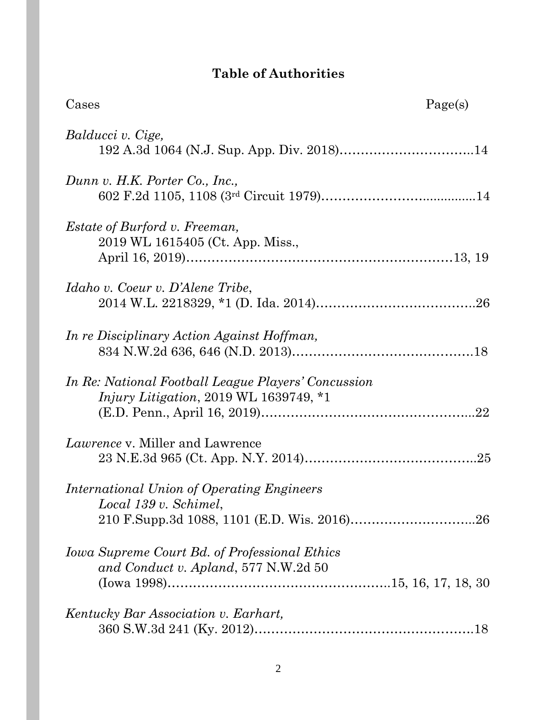# **Table of Authorities**

| Cases                                                                                                       | Page(s) |
|-------------------------------------------------------------------------------------------------------------|---------|
| Balducci v. Cige,                                                                                           |         |
| Dunn v. H.K. Porter Co., Inc.,                                                                              |         |
| <i>Estate of Burford v. Freeman,</i><br>2019 WL 1615405 (Ct. App. Miss.,                                    |         |
| Idaho v. Coeur v. D'Alene Tribe,                                                                            |         |
| In re Disciplinary Action Against Hoffman,                                                                  |         |
| <i>In Re: National Football League Players' Concussion</i><br><i>Injury Litigation, 2019 WL 1639749, *1</i> |         |
| <i>Lawrence</i> v. Miller and Lawrence                                                                      |         |
| International Union of Operating Engineers<br>Local 139 v. Schimel,                                         |         |
| Iowa Supreme Court Bd. of Professional Ethics<br>and Conduct v. Apland, 577 N.W.2d 50                       |         |
| Kentucky Bar Association v. Earhart,                                                                        |         |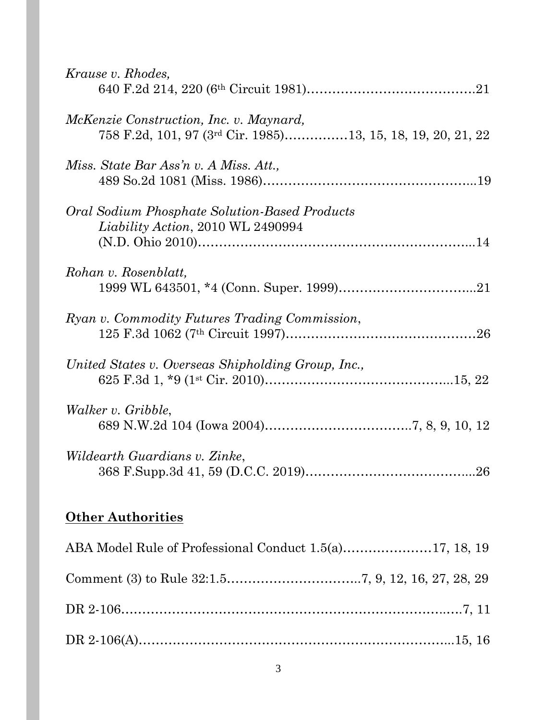| Krause v. Rhodes,                                                                                                         |
|---------------------------------------------------------------------------------------------------------------------------|
| <i>McKenzie Construction, Inc. v. Maynard,</i><br>758 F.2d, 101, 97 (3 <sup>rd</sup> Cir. 1985)13, 15, 18, 19, 20, 21, 22 |
| Miss. State Bar Ass'n v. A Miss. Att.,                                                                                    |
| <b>Oral Sodium Phosphate Solution-Based Products</b><br><i>Liability Action, 2010 WL 2490994</i>                          |
| Rohan v. Rosenblatt,                                                                                                      |
| Ryan v. Commodity Futures Trading Commission,                                                                             |
| United States v. Overseas Shipholding Group, Inc.,                                                                        |
| Walker v. Gribble,                                                                                                        |
| Wildearth Guardians v. Zinke,                                                                                             |
|                                                                                                                           |

## **Other Authorities**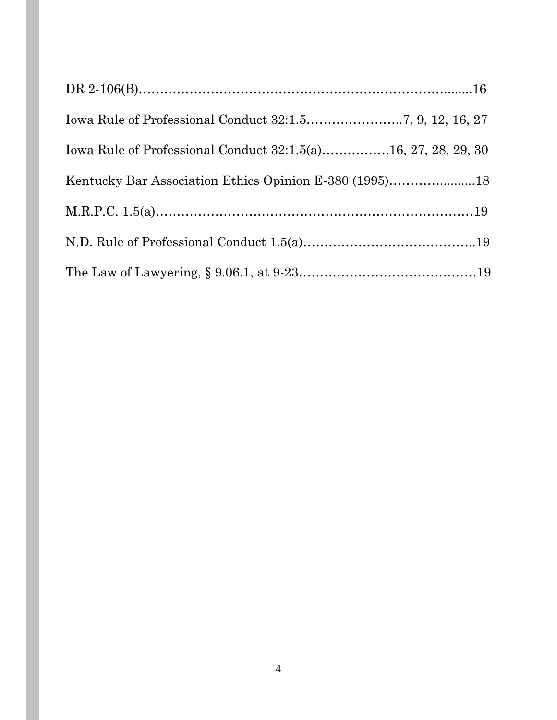| Iowa Rule of Professional Conduct 32:1.5(a)16, 27, 28, 29, 30 |  |
|---------------------------------------------------------------|--|
|                                                               |  |
|                                                               |  |
|                                                               |  |
|                                                               |  |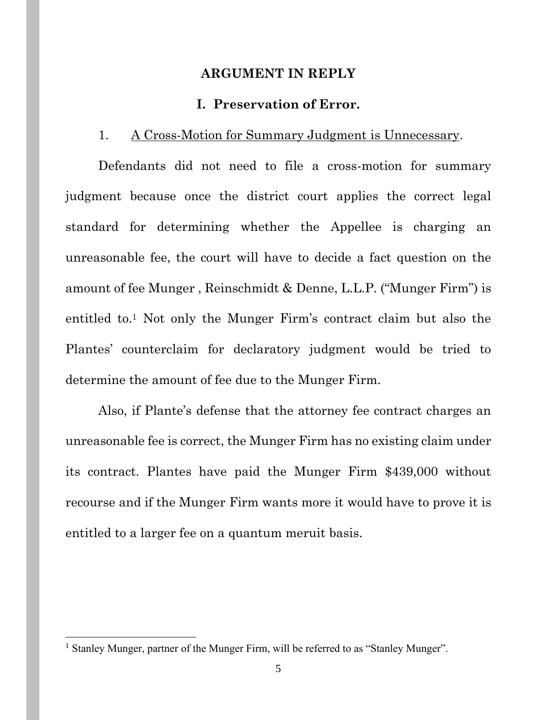#### **ARGUMENT IN REPLY**

#### **I. Preservation of Error.**

#### 1. A Cross-Motion for Summary Judgment is Unnecessary.

Defendants did not need to file a cross-motion for summary judgment because once the district court applies the correct legal standard for determining whether the Appellee is charging an unreasonable fee, the court will have to decide a fact question on the amount of fee Munger , Reinschmidt & Denne, L.L.P. ("Munger Firm") is entitled to.<sup>1</sup> Not only the Munger Firm's contract claim but also the Plantes' counterclaim for declaratory judgment would be tried to determine the amount of fee due to the Munger Firm.

Also, if Plante's defense that the attorney fee contract charges an unreasonable fee is correct, the Munger Firm has no existing claim under its contract. Plantes have paid the Munger Firm \$439,000 without recourse and if the Munger Firm wants more it would have to prove it is entitled to a larger fee on a quantum meruit basis.

<sup>&</sup>lt;sup>1</sup> Stanley Munger, partner of the Munger Firm, will be referred to as "Stanley Munger".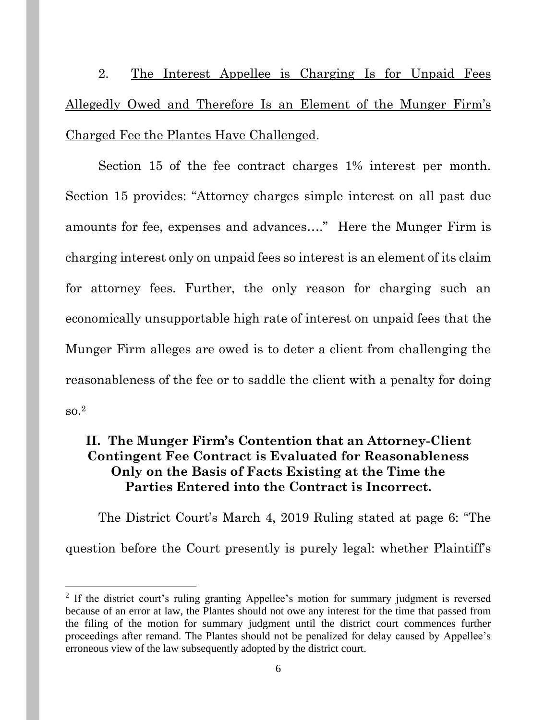2. The Interest Appellee is Charging Is for Unpaid Fees Allegedly Owed and Therefore Is an Element of the Munger Firm's Charged Fee the Plantes Have Challenged.

Section 15 of the fee contract charges 1% interest per month. Section 15 provides: "Attorney charges simple interest on all past due amounts for fee, expenses and advances…." Here the Munger Firm is charging interest only on unpaid fees so interest is an element of its claim for attorney fees. Further, the only reason for charging such an economically unsupportable high rate of interest on unpaid fees that the Munger Firm alleges are owed is to deter a client from challenging the reasonableness of the fee or to saddle the client with a penalty for doing so.<sup>2</sup>

## **II. The Munger Firm's Contention that an Attorney-Client Contingent Fee Contract is Evaluated for Reasonableness Only on the Basis of Facts Existing at the Time the Parties Entered into the Contract is Incorrect.**

The District Court's March 4, 2019 Ruling stated at page 6: "The question before the Court presently is purely legal: whether Plaintiff's

<sup>&</sup>lt;sup>2</sup> If the district court's ruling granting Appellee's motion for summary judgment is reversed because of an error at law, the Plantes should not owe any interest for the time that passed from the filing of the motion for summary judgment until the district court commences further proceedings after remand. The Plantes should not be penalized for delay caused by Appellee's erroneous view of the law subsequently adopted by the district court.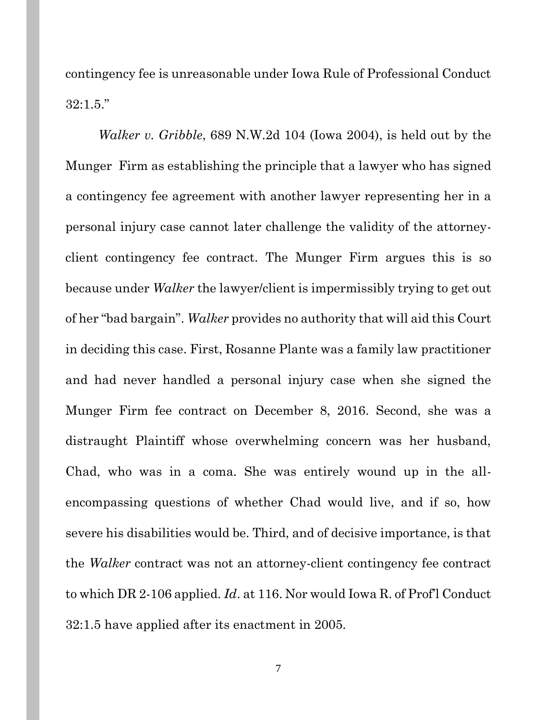contingency fee is unreasonable under Iowa Rule of Professional Conduct 32:1.5."

*Walker v. Gribble*, 689 N.W.2d 104 (Iowa 2004), is held out by the Munger Firm as establishing the principle that a lawyer who has signed a contingency fee agreement with another lawyer representing her in a personal injury case cannot later challenge the validity of the attorneyclient contingency fee contract. The Munger Firm argues this is so because under *Walker* the lawyer/client is impermissibly trying to get out of her "bad bargain". *Walker* provides no authority that will aid this Court in deciding this case. First, Rosanne Plante was a family law practitioner and had never handled a personal injury case when she signed the Munger Firm fee contract on December 8, 2016. Second, she was a distraught Plaintiff whose overwhelming concern was her husband, Chad, who was in a coma. She was entirely wound up in the allencompassing questions of whether Chad would live, and if so, how severe his disabilities would be. Third, and of decisive importance, is that the *Walker* contract was not an attorney-client contingency fee contract to which DR 2-106 applied. *Id*. at 116. Nor would Iowa R. of Prof'l Conduct 32:1.5 have applied after its enactment in 2005.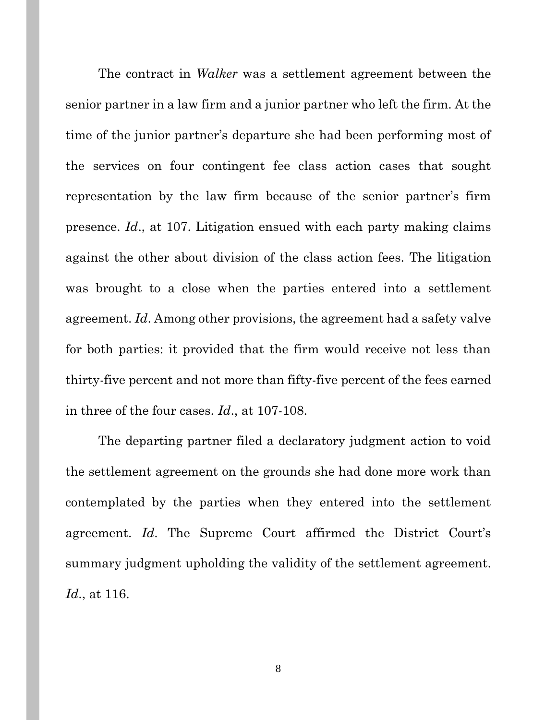The contract in *Walker* was a settlement agreement between the senior partner in a law firm and a junior partner who left the firm. At the time of the junior partner's departure she had been performing most of the services on four contingent fee class action cases that sought representation by the law firm because of the senior partner's firm presence. *Id*., at 107. Litigation ensued with each party making claims against the other about division of the class action fees. The litigation was brought to a close when the parties entered into a settlement agreement. *Id*. Among other provisions, the agreement had a safety valve for both parties: it provided that the firm would receive not less than thirty-five percent and not more than fifty-five percent of the fees earned in three of the four cases. *Id*., at 107-108.

The departing partner filed a declaratory judgment action to void the settlement agreement on the grounds she had done more work than contemplated by the parties when they entered into the settlement agreement. *Id*. The Supreme Court affirmed the District Court's summary judgment upholding the validity of the settlement agreement. *Id*., at 116.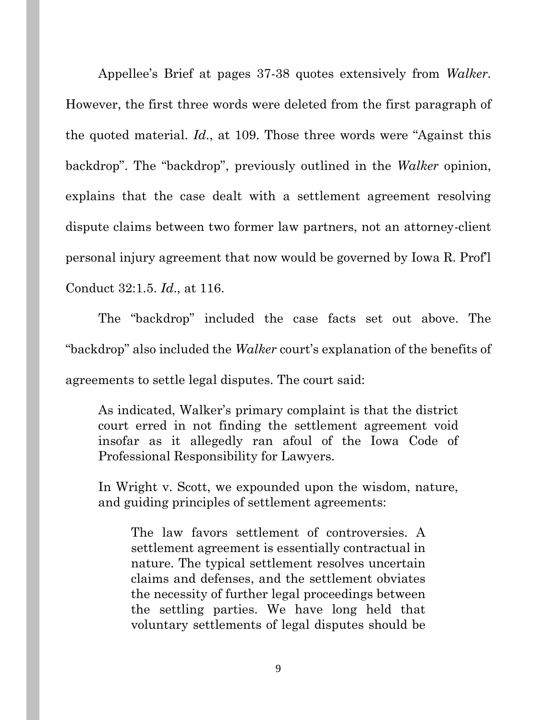Appellee's Brief at pages 37-38 quotes extensively from *Walker*. However, the first three words were deleted from the first paragraph of the quoted material. *Id*., at 109. Those three words were "Against this backdrop". The "backdrop", previously outlined in the *Walker* opinion, explains that the case dealt with a settlement agreement resolving dispute claims between two former law partners, not an attorney-client personal injury agreement that now would be governed by Iowa R. Prof'l Conduct 32:1.5. *Id*., at 116.

The "backdrop" included the case facts set out above. The "backdrop" also included the *Walker* court's explanation of the benefits of agreements to settle legal disputes. The court said:

As indicated, Walker's primary complaint is that the district court erred in not finding the settlement agreement void insofar as it allegedly ran afoul of the Iowa Code of Professional Responsibility for Lawyers.

In Wright v. Scott, we expounded upon the wisdom, nature, and guiding principles of settlement agreements:

The law favors settlement of controversies. A settlement agreement is essentially contractual in nature. The typical settlement resolves uncertain claims and defenses, and the settlement obviates the necessity of further legal proceedings between the settling parties. We have long held that voluntary settlements of legal disputes should be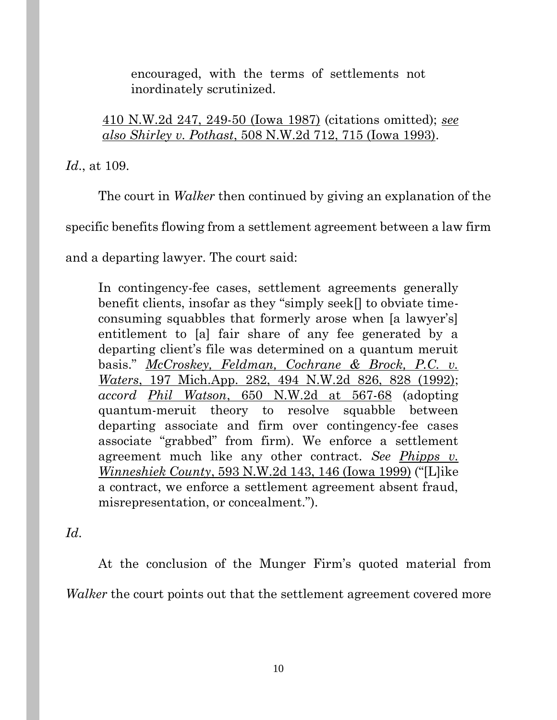encouraged, with the terms of settlements not inordinately scrutinized.

410 N.W.2d 247, 249-50 (Iowa 1987) (citations omitted); *see also Shirley v. Pothast*, 508 N.W.2d 712, 715 (Iowa 1993).

*Id*., at 109.

The court in *Walker* then continued by giving an explanation of the

specific benefits flowing from a settlement agreement between a law firm

and a departing lawyer. The court said:

In contingency-fee cases, settlement agreements generally benefit clients, insofar as they "simply seek[] to obviate timeconsuming squabbles that formerly arose when [a lawyer's] entitlement to [a] fair share of any fee generated by a departing client's file was determined on a quantum meruit basis." *McCroskey, Feldman, Cochrane & Brock, P.C. v. Waters*, 197 Mich.App. 282, 494 N.W.2d 826, 828 (1992); *accord Phil Watson*, 650 N.W.2d at 567-68 (adopting quantum-meruit theory to resolve squabble between departing associate and firm over contingency-fee cases associate "grabbed" from firm). We enforce a settlement agreement much like any other contract. *See Phipps v. Winneshiek County*, 593 N.W.2d 143, 146 (Iowa 1999) ("[L]ike a contract, we enforce a settlement agreement absent fraud, misrepresentation, or concealment.").

*Id*.

At the conclusion of the Munger Firm's quoted material from *Walker* the court points out that the settlement agreement covered more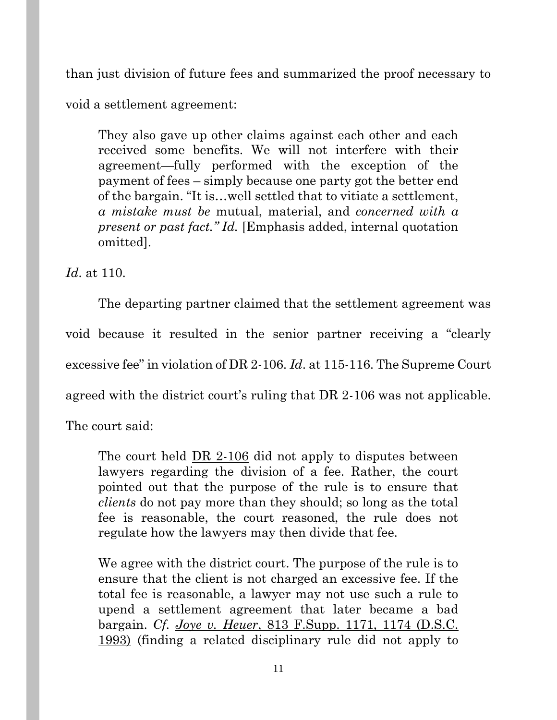than just division of future fees and summarized the proof necessary to

void a settlement agreement:

They also gave up other claims against each other and each received some benefits. We will not interfere with their agreement—fully performed with the exception of the payment of fees – simply because one party got the better end of the bargain. "It is…well settled that to vitiate a settlement, *a mistake must be* mutual, material, and *concerned with a present or past fact." Id.* [Emphasis added, internal quotation omitted].

*Id*. at 110.

The departing partner claimed that the settlement agreement was void because it resulted in the senior partner receiving a "clearly excessive fee" in violation of DR 2-106. *Id*. at 115-116. The Supreme Court agreed with the district court's ruling that DR 2-106 was not applicable.

The court said:

The court held DR 2-106 did not apply to disputes between lawyers regarding the division of a fee. Rather, the court pointed out that the purpose of the rule is to ensure that *clients* do not pay more than they should; so long as the total fee is reasonable, the court reasoned, the rule does not regulate how the lawyers may then divide that fee.

We agree with the district court. The purpose of the rule is to ensure that the client is not charged an excessive fee. If the total fee is reasonable, a lawyer may not use such a rule to upend a settlement agreement that later became a bad bargain. *Cf. Joye v. Heuer*, 813 F.Supp. 1171, 1174 (D.S.C. 1993) (finding a related disciplinary rule did not apply to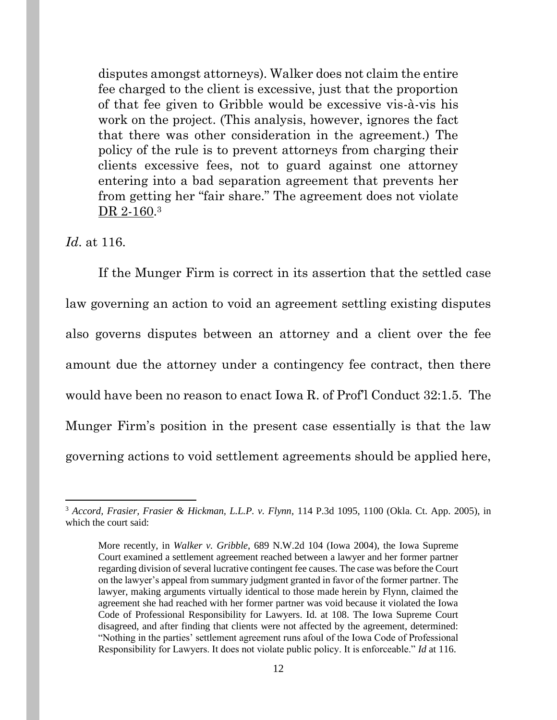disputes amongst attorneys). Walker does not claim the entire fee charged to the client is excessive, just that the proportion of that fee given to Gribble would be excessive vis-à-vis his work on the project. (This analysis, however, ignores the fact that there was other consideration in the agreement.) The policy of the rule is to prevent attorneys from charging their clients excessive fees, not to guard against one attorney entering into a bad separation agreement that prevents her from getting her "fair share." The agreement does not violate DR 2-160.<sup>3</sup>

*Id*. at 116.

If the Munger Firm is correct in its assertion that the settled case law governing an action to void an agreement settling existing disputes also governs disputes between an attorney and a client over the fee amount due the attorney under a contingency fee contract, then there would have been no reason to enact Iowa R. of Prof'l Conduct 32:1.5. The Munger Firm's position in the present case essentially is that the law governing actions to void settlement agreements should be applied here,

<sup>3</sup> *Accord, Frasier, Frasier & Hickman, L.L.P. v. Flynn*, 114 P.3d 1095, 1100 (Okla. Ct. App. 2005), in which the court said:

More recently, in *Walker v. Gribble*, 689 N.W.2d 104 (Iowa 2004), the Iowa Supreme Court examined a settlement agreement reached between a lawyer and her former partner regarding division of several lucrative contingent fee causes. The case was before the Court on the lawyer's appeal from summary judgment granted in favor of the former partner. The lawyer, making arguments virtually identical to those made herein by Flynn, claimed the agreement she had reached with her former partner was void because it violated the Iowa Code of Professional Responsibility for Lawyers. Id. at 108. The Iowa Supreme Court disagreed, and after finding that clients were not affected by the agreement, determined: "Nothing in the parties' settlement agreement runs afoul of the Iowa Code of Professional Responsibility for Lawyers. It does not violate public policy. It is enforceable." *Id* at 116.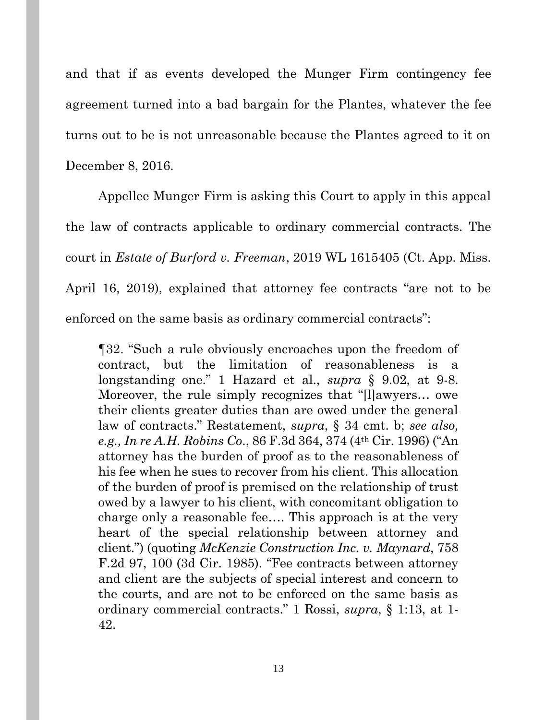and that if as events developed the Munger Firm contingency fee agreement turned into a bad bargain for the Plantes, whatever the fee turns out to be is not unreasonable because the Plantes agreed to it on December 8, 2016.

Appellee Munger Firm is asking this Court to apply in this appeal the law of contracts applicable to ordinary commercial contracts. The court in *Estate of Burford v. Freeman*, 2019 WL 1615405 (Ct. App. Miss. April 16, 2019), explained that attorney fee contracts "are not to be enforced on the same basis as ordinary commercial contracts":

¶32. "Such a rule obviously encroaches upon the freedom of contract, but the limitation of reasonableness is a longstanding one." 1 Hazard et al., *supra* § 9.02, at 9-8. Moreover, the rule simply recognizes that "[l]awyers… owe their clients greater duties than are owed under the general law of contracts." Restatement, *supra*, § 34 cmt. b; *see also, e.g., In re A.H. Robins Co*., 86 F.3d 364, 374 (4th Cir. 1996) ("An attorney has the burden of proof as to the reasonableness of his fee when he sues to recover from his client. This allocation of the burden of proof is premised on the relationship of trust owed by a lawyer to his client, with concomitant obligation to charge only a reasonable fee…. This approach is at the very heart of the special relationship between attorney and client.") (quoting *McKenzie Construction Inc. v. Maynard*, 758 F.2d 97, 100 (3d Cir. 1985). "Fee contracts between attorney and client are the subjects of special interest and concern to the courts, and are not to be enforced on the same basis as ordinary commercial contracts." 1 Rossi, *supra*, § 1:13, at 1- 42.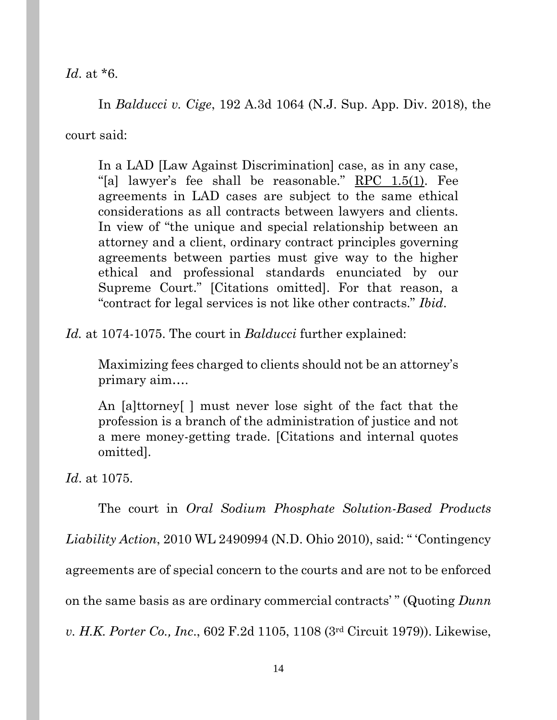*Id*. at \*6.

In *Balducci v. Cige*, 192 A.3d 1064 (N.J. Sup. App. Div. 2018), the court said:

In a LAD [Law Against Discrimination] case, as in any case, "[a] lawyer's fee shall be reasonable."  $RPC$  1.5(1). Fee agreements in LAD cases are subject to the same ethical considerations as all contracts between lawyers and clients. In view of "the unique and special relationship between an attorney and a client, ordinary contract principles governing agreements between parties must give way to the higher ethical and professional standards enunciated by our Supreme Court." [Citations omitted]. For that reason, a "contract for legal services is not like other contracts." *Ibid*.

*Id.* at 1074-1075. The court in *Balducci* further explained:

Maximizing fees charged to clients should not be an attorney's primary aim….

An [a]ttorney[ ] must never lose sight of the fact that the profession is a branch of the administration of justice and not a mere money-getting trade. [Citations and internal quotes omitted].

*Id*. at 1075.

The court in *Oral Sodium Phosphate Solution-Based Products Liability Action*, 2010 WL 2490994 (N.D. Ohio 2010), said: " 'Contingency agreements are of special concern to the courts and are not to be enforced on the same basis as are ordinary commercial contracts' " (Quoting *Dunn v. H.K. Porter Co., Inc*., 602 F.2d 1105, 1108 (3rd Circuit 1979)). Likewise,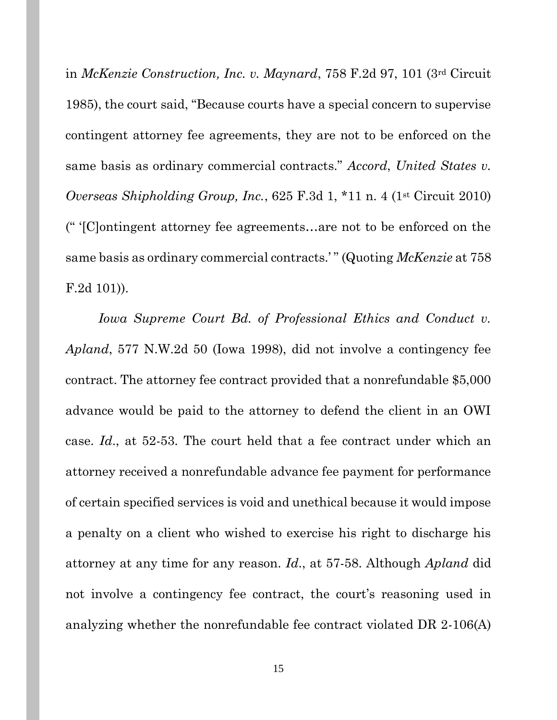in *McKenzie Construction, Inc. v. Maynard*, 758 F.2d 97, 101 (3rd Circuit 1985), the court said, "Because courts have a special concern to supervise contingent attorney fee agreements, they are not to be enforced on the same basis as ordinary commercial contracts." *Accord*, *United States v. Overseas Shipholding Group, Inc.*, 625 F.3d 1, \*11 n. 4 (1st Circuit 2010) (" '[C]ontingent attorney fee agreements…are not to be enforced on the same basis as ordinary commercial contracts.' " (Quoting *McKenzie* at 758 F.2d 101)).

Iowa Supreme Court Bd. of Professional Ethics and Conduct v. *Apland*, 577 N.W.2d 50 (Iowa 1998), did not involve a contingency fee contract. The attorney fee contract provided that a nonrefundable \$5,000 advance would be paid to the attorney to defend the client in an OWI case. *Id*., at 52-53. The court held that a fee contract under which an attorney received a nonrefundable advance fee payment for performance of certain specified services is void and unethical because it would impose a penalty on a client who wished to exercise his right to discharge his attorney at any time for any reason. *Id*., at 57-58. Although *Apland* did not involve a contingency fee contract, the court's reasoning used in analyzing whether the nonrefundable fee contract violated DR 2-106(A)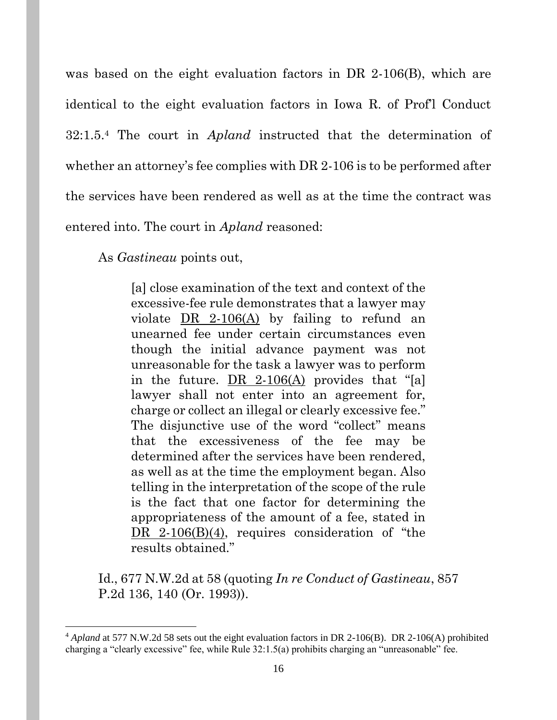was based on the eight evaluation factors in DR 2-106(B), which are identical to the eight evaluation factors in Iowa R. of Prof'l Conduct 32:1.5.<sup>4</sup> The court in *Apland* instructed that the determination of whether an attorney's fee complies with DR 2-106 is to be performed after the services have been rendered as well as at the time the contract was entered into. The court in *Apland* reasoned:

As *Gastineau* points out,

[a] close examination of the text and context of the excessive-fee rule demonstrates that a lawyer may violate  $DR$  2-106(A) by failing to refund an unearned fee under certain circumstances even though the initial advance payment was not unreasonable for the task a lawyer was to perform in the future. DR 2-106(A) provides that "[a] lawyer shall not enter into an agreement for, charge or collect an illegal or clearly excessive fee." The disjunctive use of the word "collect" means that the excessiveness of the fee may be determined after the services have been rendered, as well as at the time the employment began. Also telling in the interpretation of the scope of the rule is the fact that one factor for determining the appropriateness of the amount of a fee, stated in DR 2-106(B)(4), requires consideration of "the results obtained."

Id., 677 N.W.2d at 58 (quoting *In re Conduct of Gastineau*, 857 P.2d 136, 140 (Or. 1993)).

<sup>4</sup> *Apland* at 577 N.W.2d 58 sets out the eight evaluation factors in DR 2-106(B). DR 2-106(A) prohibited charging a "clearly excessive" fee, while Rule 32:1.5(a) prohibits charging an "unreasonable" fee.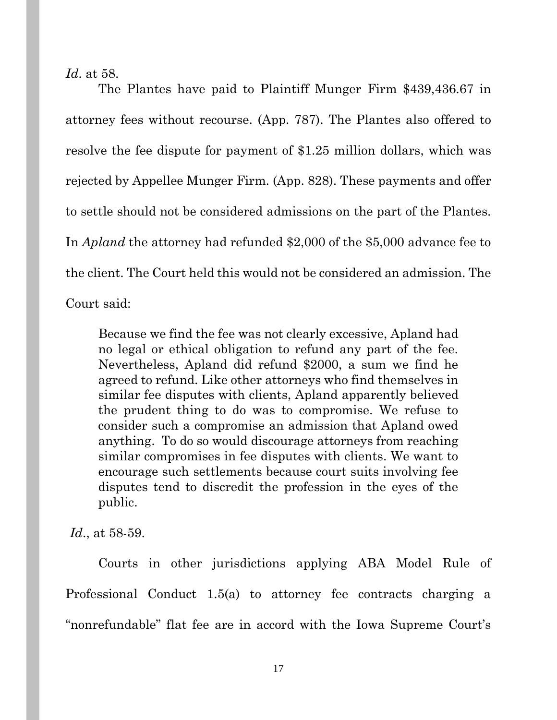*Id*. at 58.

The Plantes have paid to Plaintiff Munger Firm \$439,436.67 in attorney fees without recourse. (App. 787). The Plantes also offered to resolve the fee dispute for payment of \$1.25 million dollars, which was rejected by Appellee Munger Firm. (App. 828). These payments and offer to settle should not be considered admissions on the part of the Plantes. In *Apland* the attorney had refunded \$2,000 of the \$5,000 advance fee to the client. The Court held this would not be considered an admission. The Court said:

Because we find the fee was not clearly excessive, Apland had no legal or ethical obligation to refund any part of the fee. Nevertheless, Apland did refund \$2000, a sum we find he agreed to refund. Like other attorneys who find themselves in similar fee disputes with clients, Apland apparently believed the prudent thing to do was to compromise. We refuse to consider such a compromise an admission that Apland owed anything. To do so would discourage attorneys from reaching similar compromises in fee disputes with clients. We want to encourage such settlements because court suits involving fee disputes tend to discredit the profession in the eyes of the public.

*Id*., at 58-59.

Courts in other jurisdictions applying ABA Model Rule of Professional Conduct 1.5(a) to attorney fee contracts charging a "nonrefundable" flat fee are in accord with the Iowa Supreme Court's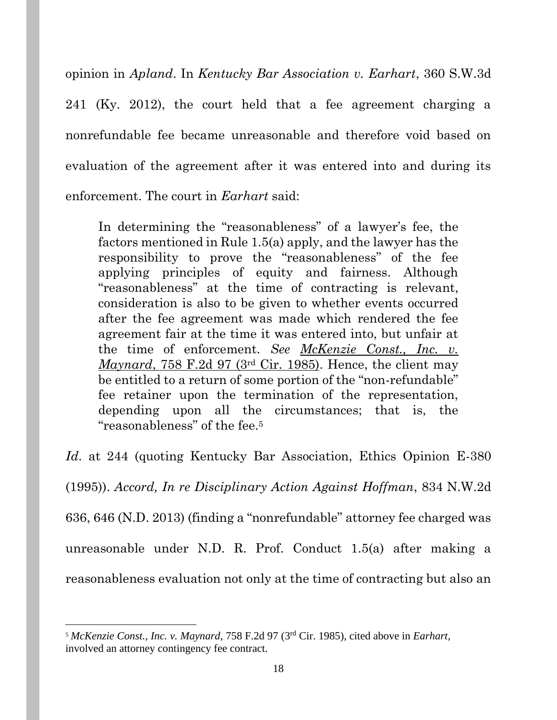opinion in *Apland*. In *Kentucky Bar Association v. Earhart*, 360 S.W.3d 241 (Ky. 2012), the court held that a fee agreement charging a nonrefundable fee became unreasonable and therefore void based on evaluation of the agreement after it was entered into and during its enforcement. The court in *Earhart* said:

In determining the "reasonableness" of a lawyer's fee, the factors mentioned in Rule 1.5(a) apply, and the lawyer has the responsibility to prove the "reasonableness" of the fee applying principles of equity and fairness. Although "reasonableness" at the time of contracting is relevant, consideration is also to be given to whether events occurred after the fee agreement was made which rendered the fee agreement fair at the time it was entered into, but unfair at the time of enforcement. *See McKenzie Const., Inc. v. Maynard*, 758 F.2d 97 (3<sup>rd</sup> Cir. 1985). Hence, the client may be entitled to a return of some portion of the "non-refundable" fee retainer upon the termination of the representation, depending upon all the circumstances; that is, the "reasonableness" of the fee.<sup>5</sup>

*Id*. at 244 (quoting Kentucky Bar Association, Ethics Opinion E-380 (1995)). *Accord, In re Disciplinary Action Against Hoffman*, 834 N.W.2d 636, 646 (N.D. 2013) (finding a "nonrefundable" attorney fee charged was unreasonable under N.D. R. Prof. Conduct 1.5(a) after making a reasonableness evaluation not only at the time of contracting but also an

<sup>5</sup> *McKenzie Const., Inc. v. Maynard*, 758 F.2d 97 (3rd Cir. 1985), cited above in *Earhart*, involved an attorney contingency fee contract.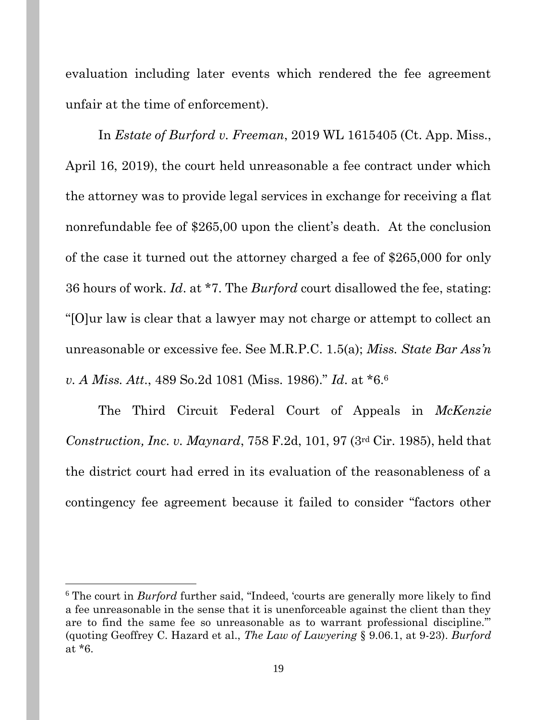evaluation including later events which rendered the fee agreement unfair at the time of enforcement).

In *Estate of Burford v. Freeman*, 2019 WL 1615405 (Ct. App. Miss., April 16, 2019), the court held unreasonable a fee contract under which the attorney was to provide legal services in exchange for receiving a flat nonrefundable fee of \$265,00 upon the client's death. At the conclusion of the case it turned out the attorney charged a fee of \$265,000 for only 36 hours of work. *Id*. at \*7. The *Burford* court disallowed the fee, stating: "[O]ur law is clear that a lawyer may not charge or attempt to collect an unreasonable or excessive fee. See M.R.P.C. 1.5(a); *Miss. State Bar Ass'n v. A Miss. Att*., 489 So.2d 1081 (Miss. 1986)." *Id*. at \*6.<sup>6</sup>

The Third Circuit Federal Court of Appeals in *McKenzie Construction, Inc. v. Maynard*, 758 F.2d, 101, 97 (3rd Cir. 1985), held that the district court had erred in its evaluation of the reasonableness of a contingency fee agreement because it failed to consider "factors other

<sup>&</sup>lt;sup>6</sup> The court in *Burford* further said, "Indeed, 'courts are generally more likely to find a fee unreasonable in the sense that it is unenforceable against the client than they are to find the same fee so unreasonable as to warrant professional discipline.'" (quoting Geoffrey C. Hazard et al., *The Law of Lawyering* § 9.06.1, at 9-23). *Burford* at \*6.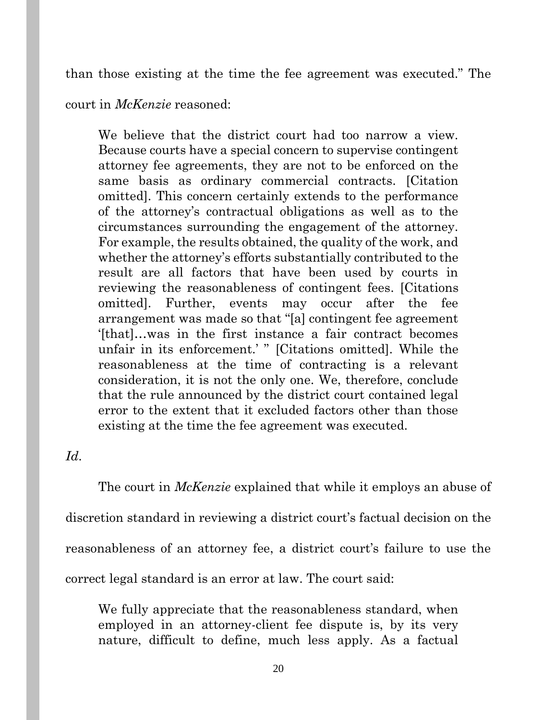than those existing at the time the fee agreement was executed." The

court in *McKenzie* reasoned:

We believe that the district court had too narrow a view. Because courts have a special concern to supervise contingent attorney fee agreements, they are not to be enforced on the same basis as ordinary commercial contracts. [Citation omitted]. This concern certainly extends to the performance of the attorney's contractual obligations as well as to the circumstances surrounding the engagement of the attorney. For example, the results obtained, the quality of the work, and whether the attorney's efforts substantially contributed to the result are all factors that have been used by courts in reviewing the reasonableness of contingent fees. [Citations omitted]. Further, events may occur after the fee arrangement was made so that "[a] contingent fee agreement '[that]…was in the first instance a fair contract becomes unfair in its enforcement.' " [Citations omitted]. While the reasonableness at the time of contracting is a relevant consideration, it is not the only one. We, therefore, conclude that the rule announced by the district court contained legal error to the extent that it excluded factors other than those existing at the time the fee agreement was executed.

## *Id*.

The court in *McKenzie* explained that while it employs an abuse of discretion standard in reviewing a district court's factual decision on the reasonableness of an attorney fee, a district court's failure to use the correct legal standard is an error at law. The court said:

We fully appreciate that the reasonableness standard, when employed in an attorney-client fee dispute is, by its very nature, difficult to define, much less apply. As a factual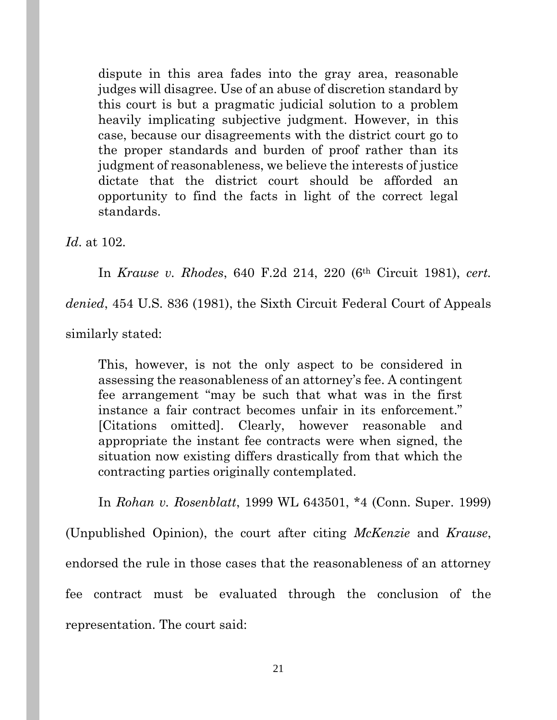dispute in this area fades into the gray area, reasonable judges will disagree. Use of an abuse of discretion standard by this court is but a pragmatic judicial solution to a problem heavily implicating subjective judgment. However, in this case, because our disagreements with the district court go to the proper standards and burden of proof rather than its judgment of reasonableness, we believe the interests of justice dictate that the district court should be afforded an opportunity to find the facts in light of the correct legal standards.

*Id*. at 102.

In *Krause v. Rhodes*, 640 F.2d 214, 220 (6th Circuit 1981), *cert.* 

*denied*, 454 U.S. 836 (1981), the Sixth Circuit Federal Court of Appeals

similarly stated:

This, however, is not the only aspect to be considered in assessing the reasonableness of an attorney's fee. A contingent fee arrangement "may be such that what was in the first instance a fair contract becomes unfair in its enforcement." [Citations omitted]. Clearly, however reasonable and appropriate the instant fee contracts were when signed, the situation now existing differs drastically from that which the contracting parties originally contemplated.

In *Rohan v. Rosenblatt*, 1999 WL 643501, \*4 (Conn. Super. 1999) (Unpublished Opinion), the court after citing *McKenzie* and *Krause*, endorsed the rule in those cases that the reasonableness of an attorney fee contract must be evaluated through the conclusion of the representation. The court said: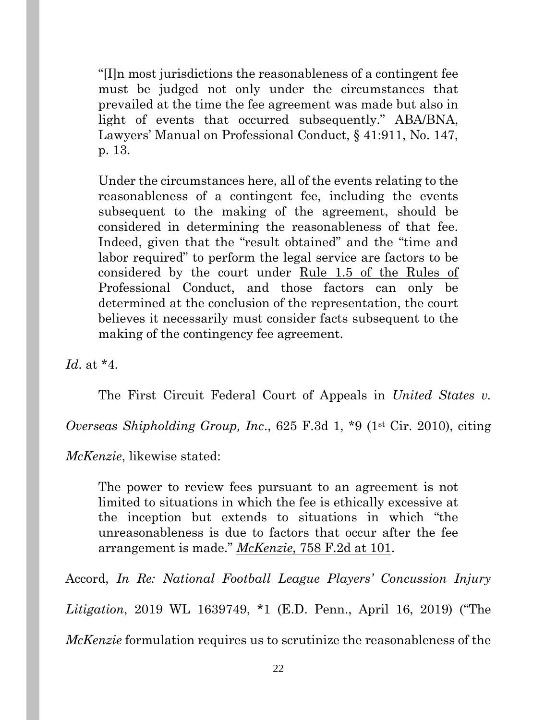"[I]n most jurisdictions the reasonableness of a contingent fee must be judged not only under the circumstances that prevailed at the time the fee agreement was made but also in light of events that occurred subsequently." ABA/BNA, Lawyers' Manual on Professional Conduct, § 41:911, No. 147, p. 13.

Under the circumstances here, all of the events relating to the reasonableness of a contingent fee, including the events subsequent to the making of the agreement, should be considered in determining the reasonableness of that fee. Indeed, given that the "result obtained" and the "time and labor required" to perform the legal service are factors to be considered by the court under Rule 1.5 of the Rules of Professional Conduct, and those factors can only be determined at the conclusion of the representation, the court believes it necessarily must consider facts subsequent to the making of the contingency fee agreement.

*Id*. at \*4.

The First Circuit Federal Court of Appeals in *United States v.* 

*Overseas Shipholding Group, Inc*., 625 F.3d 1, \*9 (1st Cir. 2010), citing

*McKenzie*, likewise stated:

The power to review fees pursuant to an agreement is not limited to situations in which the fee is ethically excessive at the inception but extends to situations in which "the unreasonableness is due to factors that occur after the fee arrangement is made." *McKenzie*, 758 F.2d at 101.

Accord, *In Re: National Football League Players' Concussion Injury Litigation*, 2019 WL 1639749, \*1 (E.D. Penn., April 16, 2019) ("The

*McKenzie* formulation requires us to scrutinize the reasonableness of the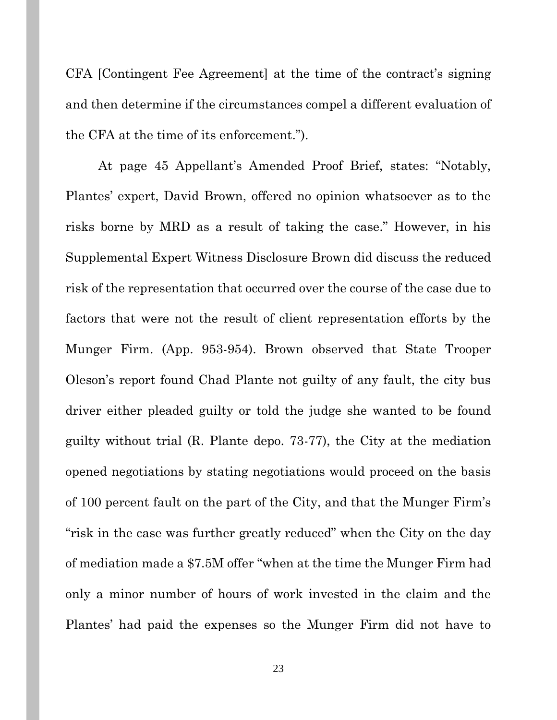CFA [Contingent Fee Agreement] at the time of the contract's signing and then determine if the circumstances compel a different evaluation of the CFA at the time of its enforcement.").

At page 45 Appellant's Amended Proof Brief, states: "Notably, Plantes' expert, David Brown, offered no opinion whatsoever as to the risks borne by MRD as a result of taking the case." However, in his Supplemental Expert Witness Disclosure Brown did discuss the reduced risk of the representation that occurred over the course of the case due to factors that were not the result of client representation efforts by the Munger Firm. (App. 953-954). Brown observed that State Trooper Oleson's report found Chad Plante not guilty of any fault, the city bus driver either pleaded guilty or told the judge she wanted to be found guilty without trial (R. Plante depo. 73-77), the City at the mediation opened negotiations by stating negotiations would proceed on the basis of 100 percent fault on the part of the City, and that the Munger Firm's "risk in the case was further greatly reduced" when the City on the day of mediation made a \$7.5M offer "when at the time the Munger Firm had only a minor number of hours of work invested in the claim and the Plantes' had paid the expenses so the Munger Firm did not have to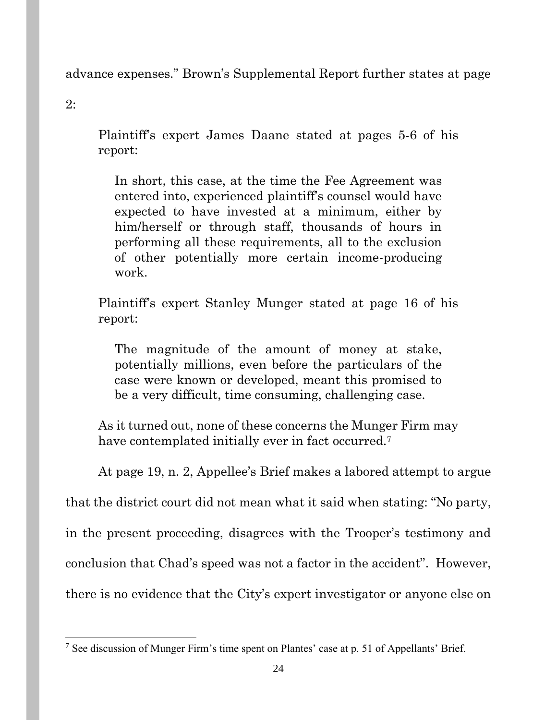advance expenses." Brown's Supplemental Report further states at page

2:

Plaintiff's expert James Daane stated at pages 5-6 of his report:

In short, this case, at the time the Fee Agreement was entered into, experienced plaintiff's counsel would have expected to have invested at a minimum, either by him/herself or through staff, thousands of hours in performing all these requirements, all to the exclusion of other potentially more certain income-producing work.

Plaintiff's expert Stanley Munger stated at page 16 of his report:

The magnitude of the amount of money at stake, potentially millions, even before the particulars of the case were known or developed, meant this promised to be a very difficult, time consuming, challenging case.

As it turned out, none of these concerns the Munger Firm may have contemplated initially ever in fact occurred.<sup>7</sup>

At page 19, n. 2, Appellee's Brief makes a labored attempt to argue

that the district court did not mean what it said when stating: "No party,

in the present proceeding, disagrees with the Trooper's testimony and

conclusion that Chad's speed was not a factor in the accident". However,

there is no evidence that the City's expert investigator or anyone else on

<sup>7</sup> See discussion of Munger Firm's time spent on Plantes' case at p. 51 of Appellants' Brief.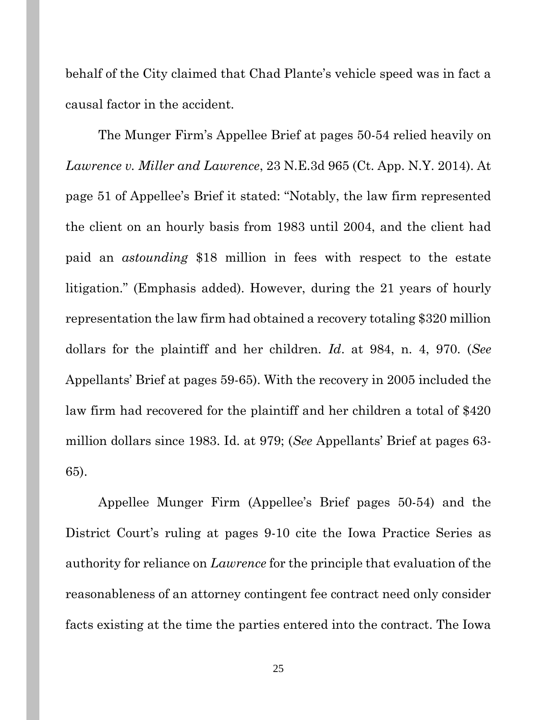behalf of the City claimed that Chad Plante's vehicle speed was in fact a causal factor in the accident.

The Munger Firm's Appellee Brief at pages 50-54 relied heavily on *Lawrence v. Miller and Lawrence*, 23 N.E.3d 965 (Ct. App. N.Y. 2014). At page 51 of Appellee's Brief it stated: "Notably, the law firm represented the client on an hourly basis from 1983 until 2004, and the client had paid an *astounding* \$18 million in fees with respect to the estate litigation." (Emphasis added). However, during the 21 years of hourly representation the law firm had obtained a recovery totaling \$320 million dollars for the plaintiff and her children. *Id*. at 984, n. 4, 970. (*See* Appellants' Brief at pages 59-65). With the recovery in 2005 included the law firm had recovered for the plaintiff and her children a total of \$420 million dollars since 1983. Id. at 979; (*See* Appellants' Brief at pages 63- 65).

Appellee Munger Firm (Appellee's Brief pages 50-54) and the District Court's ruling at pages 9-10 cite the Iowa Practice Series as authority for reliance on *Lawrence* for the principle that evaluation of the reasonableness of an attorney contingent fee contract need only consider facts existing at the time the parties entered into the contract. The Iowa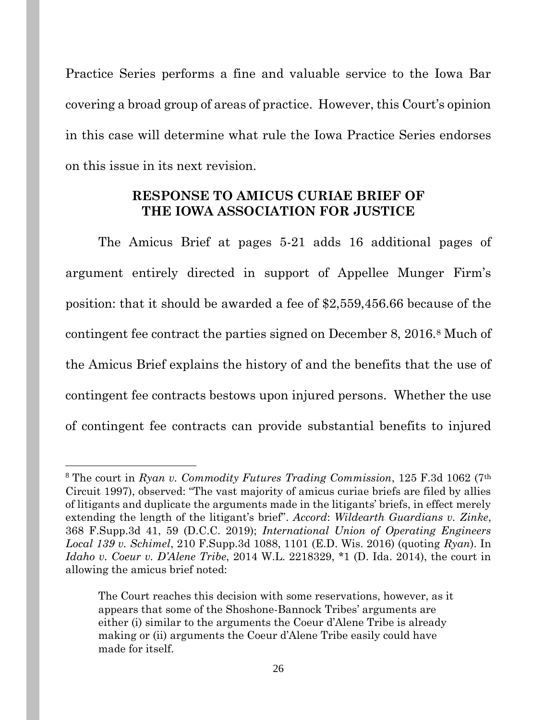Practice Series performs a fine and valuable service to the Iowa Bar covering a broad group of areas of practice. However, this Court's opinion in this case will determine what rule the Iowa Practice Series endorses on this issue in its next revision.

### **RESPONSE TO AMICUS CURIAE BRIEF OF THE IOWA ASSOCIATION FOR JUSTICE**

The Amicus Brief at pages 5-21 adds 16 additional pages of argument entirely directed in support of Appellee Munger Firm's position: that it should be awarded a fee of \$2,559,456.66 because of the contingent fee contract the parties signed on December 8, 2016.<sup>8</sup> Much of the Amicus Brief explains the history of and the benefits that the use of contingent fee contracts bestows upon injured persons. Whether the use of contingent fee contracts can provide substantial benefits to injured

<sup>8</sup> The court in *Ryan v. Commodity Futures Trading Commission*, 125 F.3d 1062 (7th Circuit 1997), observed: "The vast majority of amicus curiae briefs are filed by allies of litigants and duplicate the arguments made in the litigants' briefs, in effect merely extending the length of the litigant's brief". *Accord*: *Wildearth Guardians v. Zinke*, 368 F.Supp.3d 41, 59 (D.C.C. 2019); *International Union of Operating Engineers Local 139 v. Schimel*, 210 F.Supp.3d 1088, 1101 (E.D. Wis. 2016) (quoting *Ryan*). In *Idaho v. Coeur v. D'Alene Tribe*, 2014 W.L. 2218329, \*1 (D. Ida. 2014), the court in allowing the amicus brief noted:

The Court reaches this decision with some reservations, however, as it appears that some of the Shoshone-Bannock Tribes' arguments are either (i) similar to the arguments the Coeur d'Alene Tribe is already making or (ii) arguments the Coeur d'Alene Tribe easily could have made for itself.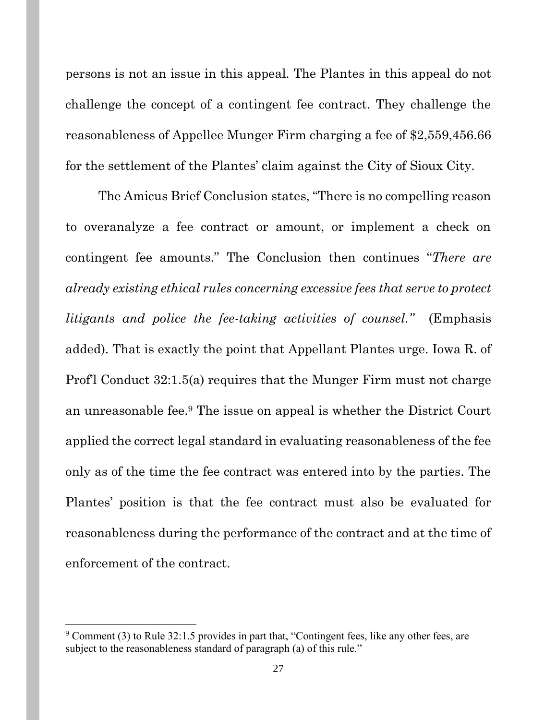persons is not an issue in this appeal. The Plantes in this appeal do not challenge the concept of a contingent fee contract. They challenge the reasonableness of Appellee Munger Firm charging a fee of \$2,559,456.66 for the settlement of the Plantes' claim against the City of Sioux City.

The Amicus Brief Conclusion states, "There is no compelling reason to overanalyze a fee contract or amount, or implement a check on contingent fee amounts." The Conclusion then continues "*There are already existing ethical rules concerning excessive fees that serve to protect litigants and police the fee-taking activities of counsel."* (Emphasis added). That is exactly the point that Appellant Plantes urge. Iowa R. of Prof'l Conduct 32:1.5(a) requires that the Munger Firm must not charge an unreasonable fee. <sup>9</sup> The issue on appeal is whether the District Court applied the correct legal standard in evaluating reasonableness of the fee only as of the time the fee contract was entered into by the parties. The Plantes' position is that the fee contract must also be evaluated for reasonableness during the performance of the contract and at the time of enforcement of the contract.

 $9$  Comment (3) to Rule 32:1.5 provides in part that, "Contingent fees, like any other fees, are subject to the reasonableness standard of paragraph (a) of this rule."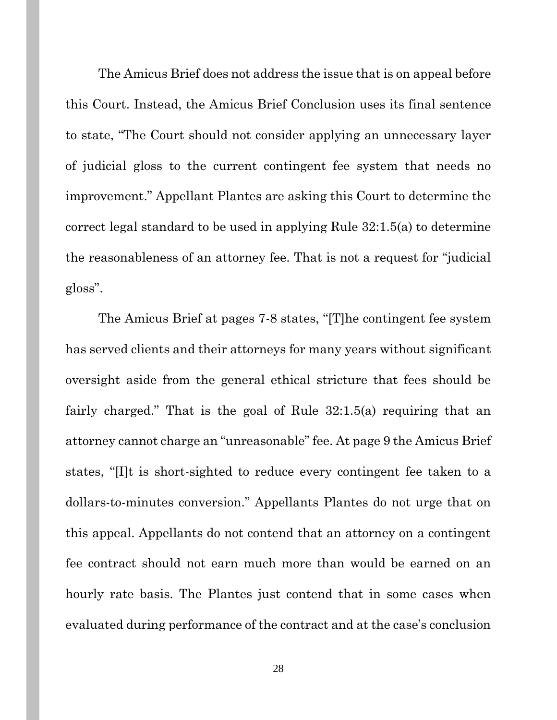The Amicus Brief does not address the issue that is on appeal before this Court. Instead, the Amicus Brief Conclusion uses its final sentence to state, "The Court should not consider applying an unnecessary layer of judicial gloss to the current contingent fee system that needs no improvement." Appellant Plantes are asking this Court to determine the correct legal standard to be used in applying Rule 32:1.5(a) to determine the reasonableness of an attorney fee. That is not a request for "judicial gloss".

The Amicus Brief at pages 7-8 states, "[T]he contingent fee system has served clients and their attorneys for many years without significant oversight aside from the general ethical stricture that fees should be fairly charged." That is the goal of Rule 32:1.5(a) requiring that an attorney cannot charge an "unreasonable" fee. At page 9 the Amicus Brief states, "[I]t is short-sighted to reduce every contingent fee taken to a dollars-to-minutes conversion." Appellants Plantes do not urge that on this appeal. Appellants do not contend that an attorney on a contingent fee contract should not earn much more than would be earned on an hourly rate basis. The Plantes just contend that in some cases when evaluated during performance of the contract and at the case's conclusion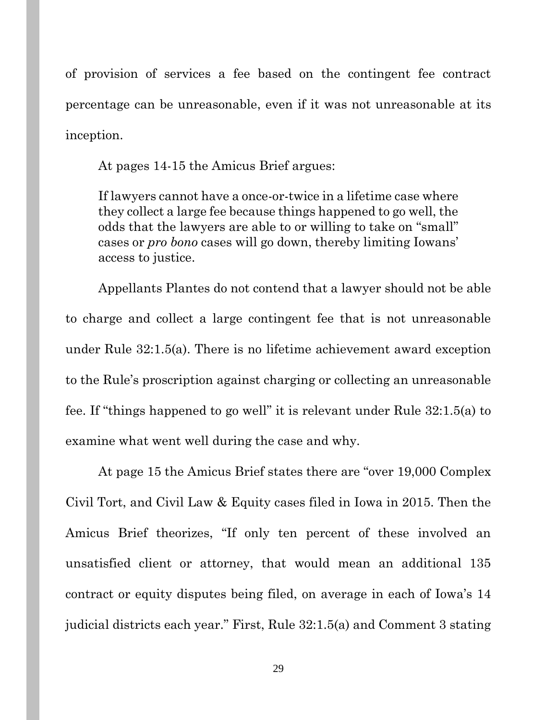of provision of services a fee based on the contingent fee contract percentage can be unreasonable, even if it was not unreasonable at its inception.

At pages 14-15 the Amicus Brief argues:

If lawyers cannot have a once-or-twice in a lifetime case where they collect a large fee because things happened to go well, the odds that the lawyers are able to or willing to take on "small" cases or *pro bono* cases will go down, thereby limiting Iowans' access to justice.

Appellants Plantes do not contend that a lawyer should not be able to charge and collect a large contingent fee that is not unreasonable under Rule 32:1.5(a). There is no lifetime achievement award exception to the Rule's proscription against charging or collecting an unreasonable fee. If "things happened to go well" it is relevant under Rule 32:1.5(a) to examine what went well during the case and why.

At page 15 the Amicus Brief states there are "over 19,000 Complex Civil Tort, and Civil Law & Equity cases filed in Iowa in 2015. Then the Amicus Brief theorizes, "If only ten percent of these involved an unsatisfied client or attorney, that would mean an additional 135 contract or equity disputes being filed, on average in each of Iowa's 14 judicial districts each year." First, Rule 32:1.5(a) and Comment 3 stating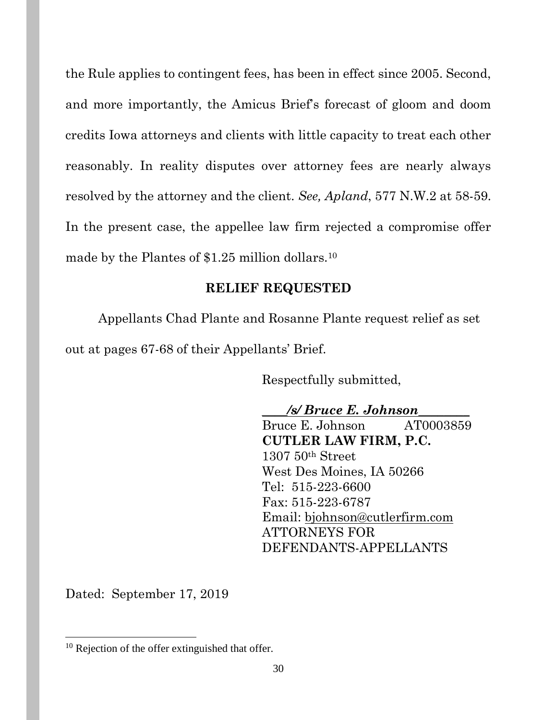the Rule applies to contingent fees, has been in effect since 2005. Second, and more importantly, the Amicus Brief's forecast of gloom and doom credits Iowa attorneys and clients with little capacity to treat each other reasonably. In reality disputes over attorney fees are nearly always resolved by the attorney and the client. *See, Apland*, 577 N.W.2 at 58-59. In the present case, the appellee law firm rejected a compromise offer made by the Plantes of \$1.25 million dollars.<sup>10</sup>

## **RELIEF REQUESTED**

Appellants Chad Plante and Rosanne Plante request relief as set

out at pages 67-68 of their Appellants' Brief.

Respectfully submitted,

**\_\_\_\_***/s/ Bruce E. Johnson***\_\_\_\_\_\_\_\_** Bruce E. Johnson AT0003859 **CUTLER LAW FIRM, P.C.** 1307 50th Street West Des Moines, IA 50266 Tel: 515-223-6600 Fax: 515-223-6787 Email: [bjohnson@cutlerfirm.com](mailto:bjohnson@cutlerfirm.com) ATTORNEYS FOR DEFENDANTS-APPELLANTS

Dated: September 17, 2019

<sup>&</sup>lt;sup>10</sup> Rejection of the offer extinguished that offer.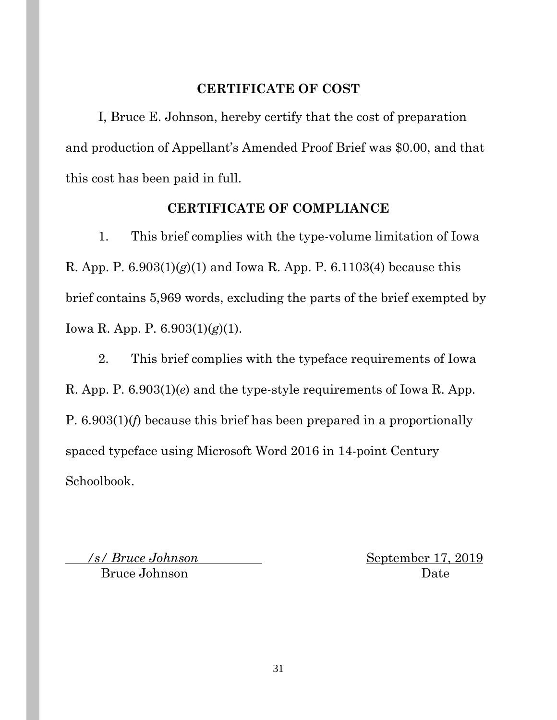### **CERTIFICATE OF COST**

I, Bruce E. Johnson, hereby certify that the cost of preparation and production of Appellant's Amended Proof Brief was \$0.00, and that this cost has been paid in full.

## **CERTIFICATE OF COMPLIANCE**

1. This brief complies with the type-volume limitation of Iowa R. App. P. 6.903(1)(*g*)(1) and Iowa R. App. P. 6.1103(4) because this brief contains 5,969 words, excluding the parts of the brief exempted by Iowa R. App. P. 6.903(1)(*g*)(1).

2. This brief complies with the typeface requirements of Iowa R. App. P. 6.903(1)(*e*) and the type-style requirements of Iowa R. App. P. 6.903(1)(*f*) because this brief has been prepared in a proportionally spaced typeface using Microsoft Word 2016 in 14-point Century Schoolbook.

*/s/ Bruce Johnson* September 17, 2019 Bruce Johnson Date